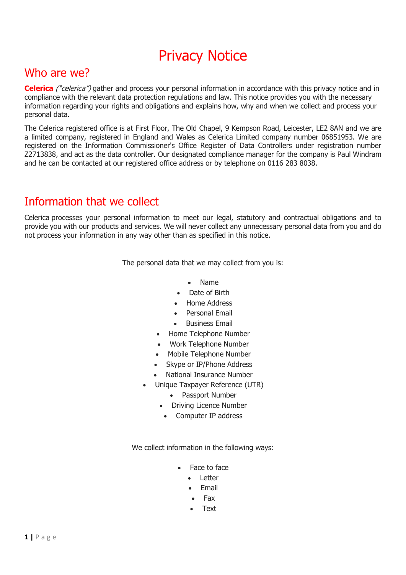# Privacy Notice

#### Who are we?

**Celerica** ("celerica") gather and process your personal information in accordance with this privacy notice and in compliance with the relevant data protection regulations and law. This notice provides you with the necessary information regarding your rights and obligations and explains how, why and when we collect and process your personal data.

The Celerica registered office is at First Floor, The Old Chapel, 9 Kempson Road, Leicester, LE2 8AN and we are a limited company, registered in England and Wales as Celerica Limited company number 06851953. We are registered on the Information Commissioner's Office Register of Data Controllers under registration number Z2713838, and act as the data controller. Our designated compliance manager for the company is Paul Windram and he can be contacted at our registered office address or by telephone on 0116 283 8038.

# Information that we collect

Celerica processes your personal information to meet our legal, statutory and contractual obligations and to provide you with our products and services. We will never collect any unnecessary personal data from you and do not process your information in any way other than as specified in this notice.

The personal data that we may collect from you is:

- Name
- Date of Birth
- Home Address
- Personal Email
- Business Email
- Home Telephone Number
- Work Telephone Number
- Mobile Telephone Number
- Skype or IP/Phone Address
- National Insurance Number
- Unique Taxpayer Reference (UTR)
	- Passport Number
	- Driving Licence Number
	- Computer IP address

We collect information in the following ways:

- Face to face
	- Letter
	- **Email**
	- Fax
	- Text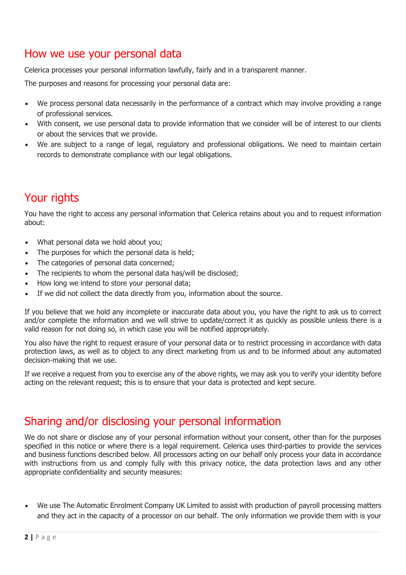#### How we use your personal data

Celerica processes your personal information lawfully, fairly and in a transparent manner.

The purposes and reasons for processing your personal data are:

- We process personal data necessarily in the performance of a contract which may involve providing a range of professional services.
- With consent, we use personal data to provide information that we consider will be of interest to our clients or about the services that we provide.
- We are subject to a range of legal, regulatory and professional obligations. We need to maintain certain records to demonstrate compliance with our legal obligations.

# Your rights

You have the right to access any personal information that Celerica retains about you and to request information about:

- What personal data we hold about you:
- The purposes for which the personal data is held:
- The categories of personal data concerned:
- The recipients to whom the personal data has/will be disclosed:
- How long we intend to store your personal data;
- If we did not collect the data directly from you, information about the source.

If you believe that we hold any incomplete or inaccurate data about you, you have the right to ask us to correct and/or complete the information and we will strive to update/correct it as quickly as possible unless there is a valid reason for not doing so, in which case you will be notified appropriately.

You also have the right to request erasure of your personal data or to restrict processing in accordance with data protection laws, as well as to object to any direct marketing from us and to be informed about any automated decision-making that we use.

If we receive a request from you to exercise any of the above rights, we may ask you to verify your identity before acting on the relevant request; this is to ensure that your data is protected and kept secure.

#### Sharing and/or disclosing your personal information

We do not share or disclose any of your personal information without your consent, other than for the purposes specified in this notice or where there is a legal requirement. Celerica uses third-parties to provide the services and business functions described below. All processors acting on our behalf only process your data in accordance with instructions from us and comply fully with this privacy notice, the data protection laws and any other appropriate confidentiality and security measures:

• We use The Automatic Enrolment Company UK Limited to assist with production of payroll processing matters and they act in the capacity of a processor on our behalf. The only information we provide them with is your